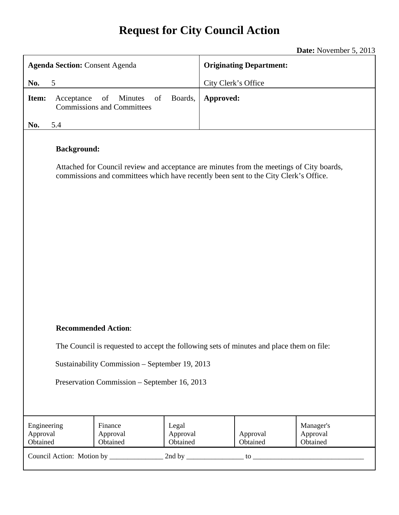# **Request for City Council Action**

**Date:** November 5, 2013

| <b>Agenda Section: Consent Agenda</b>                                                                                                                                                                                    |            |                                                          |                               | <b>Originating Department:</b>                            |  |  |
|--------------------------------------------------------------------------------------------------------------------------------------------------------------------------------------------------------------------------|------------|----------------------------------------------------------|-------------------------------|-----------------------------------------------------------|--|--|
| No.<br>5                                                                                                                                                                                                                 |            |                                                          |                               | City Clerk's Office                                       |  |  |
| Item:                                                                                                                                                                                                                    | Acceptance | of<br>of<br>Minutes<br><b>Commissions and Committees</b> | Boards,                       | Approved:                                                 |  |  |
| No.                                                                                                                                                                                                                      | 5.4        |                                                          |                               |                                                           |  |  |
| <b>Background:</b><br>Attached for Council review and acceptance are minutes from the meetings of City boards,<br>commissions and committees which have recently been sent to the City Clerk's Office.                   |            |                                                          |                               |                                                           |  |  |
| <b>Recommended Action:</b><br>The Council is requested to accept the following sets of minutes and place them on file:<br>Sustainability Commission - September 19, 2013<br>Preservation Commission - September 16, 2013 |            |                                                          |                               |                                                           |  |  |
| Engineering<br>Approval<br>Obtained                                                                                                                                                                                      |            | Finance<br>Approval<br>Obtained                          | Legal<br>Approval<br>Obtained | Manager's<br>Approval<br>Approval<br>Obtained<br>Obtained |  |  |
|                                                                                                                                                                                                                          |            |                                                          |                               |                                                           |  |  |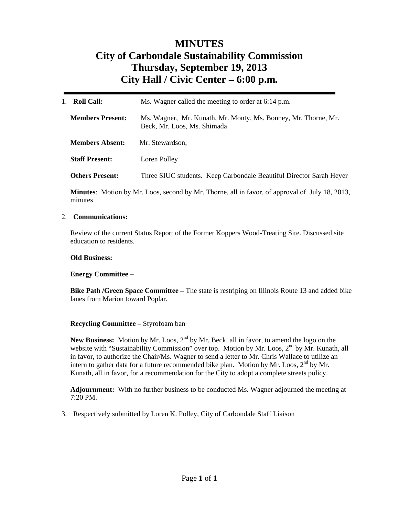## **MINUTES City of Carbondale Sustainability Commission Thursday, September 19, 2013 City Hall / Civic Center – 6:00 p.m***.*

| Roll Call:<br>$1_{-}$   | Ms. Wagner called the meeting to order at 6:14 p.m.                                           |  |  |  |
|-------------------------|-----------------------------------------------------------------------------------------------|--|--|--|
| <b>Members Present:</b> | Ms. Wagner, Mr. Kunath, Mr. Monty, Ms. Bonney, Mr. Thorne, Mr.<br>Beck, Mr. Loos, Ms. Shimada |  |  |  |
| <b>Members Absent:</b>  | Mr. Stewardson,                                                                               |  |  |  |
| <b>Staff Present:</b>   | Loren Polley                                                                                  |  |  |  |
| <b>Others Present:</b>  | Three SIUC students. Keep Carbondale Beautiful Director Sarah Heyer                           |  |  |  |

**Minutes**: Motion by Mr. Loos, second by Mr. Thorne, all in favor, of approval of July 18, 2013, minutes

#### 2. **Communications:**

Review of the current Status Report of the Former Koppers Wood-Treating Site. Discussed site education to residents.

#### **Old Business:**

#### **Energy Committee –**

**Bike Path /Green Space Committee –** The state is restriping on Illinois Route 13 and added bike lanes from Marion toward Poplar.

#### **Recycling Committee –** Styrofoam ban

New Business: Motion by Mr. Loos, 2<sup>nd</sup> by Mr. Beck, all in favor, to amend the logo on the website with "Sustainability Commission" over top. Motion by Mr. Loos, 2<sup>nd</sup> by Mr. Kunath, all in favor, to authorize the Chair/Ms. Wagner to send a letter to Mr. Chris Wallace to utilize an intern to gather data for a future recommended bike plan. Motion by Mr. Loos,  $2<sup>nd</sup>$  by Mr. Kunath, all in favor, for a recommendation for the City to adopt a complete streets policy.

**Adjournment:** With no further business to be conducted Ms. Wagner adjourned the meeting at 7:20 PM.

3. Respectively submitted by Loren K. Polley, City of Carbondale Staff Liaison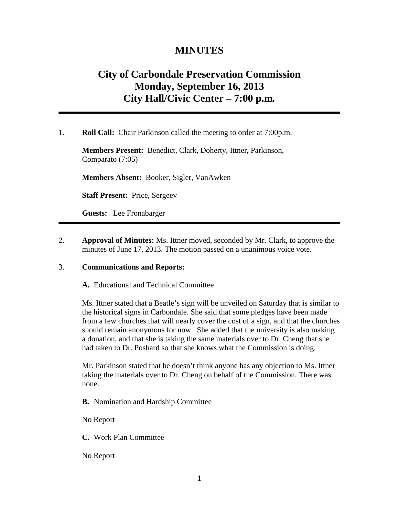### **MINUTES**

### **City of Carbondale Preservation Commission Monday, September 16, 2013 City Hall/Civic Center – 7:00 p.m***.*

1. **Roll Call:** Chair Parkinson called the meeting to order at 7:00p.m.

**Members Present:** Benedict, Clark, Doherty, Ittner, Parkinson, Comparato (7:05)

**Members Absent:** Booker, Sigler, VanAwken

**Staff Present:** Price, Sergeev

**Guests:** Lee Fronabarger

2. **Approval of Minutes:** Ms. Ittner moved, seconded by Mr. Clark, to approve the minutes of June 17, 2013. The motion passed on a unanimous voice vote.

#### 3. **Communications and Reports:**

**A.** Educational and Technical Committee

Ms. Ittner stated that a Beatle's sign will be unveiled on Saturday that is similar to the historical signs in Carbondale. She said that some pledges have been made from a few churches that will nearly cover the cost of a sign, and that the churches should remain anonymous for now. She added that the university is also making a donation, and that she is taking the same materials over to Dr. Cheng that she had taken to Dr. Poshard so that she knows what the Commission is doing.

Mr. Parkinson stated that he doesn't think anyone has any objection to Ms. Ittner taking the materials over to Dr. Cheng on behalf of the Commission. There was none.

**B.** Nomination and Hardship Committee

No Report

**C.** Work Plan Committee

No Report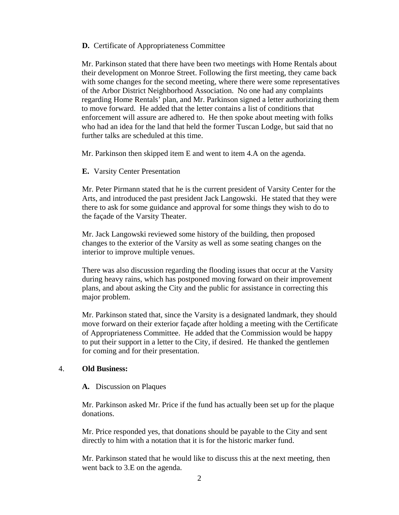#### **D.** Certificate of Appropriateness Committee

Mr. Parkinson stated that there have been two meetings with Home Rentals about their development on Monroe Street. Following the first meeting, they came back with some changes for the second meeting, where there were some representatives of the Arbor District Neighborhood Association. No one had any complaints regarding Home Rentals' plan, and Mr. Parkinson signed a letter authorizing them to move forward. He added that the letter contains a list of conditions that enforcement will assure are adhered to. He then spoke about meeting with folks who had an idea for the land that held the former Tuscan Lodge, but said that no further talks are scheduled at this time.

Mr. Parkinson then skipped item E and went to item 4.A on the agenda.

#### **E.** Varsity Center Presentation

Mr. Peter Pirmann stated that he is the current president of Varsity Center for the Arts, and introduced the past president Jack Langowski. He stated that they were there to ask for some guidance and approval for some things they wish to do to the façade of the Varsity Theater.

Mr. Jack Langowski reviewed some history of the building, then proposed changes to the exterior of the Varsity as well as some seating changes on the interior to improve multiple venues.

There was also discussion regarding the flooding issues that occur at the Varsity during heavy rains, which has postponed moving forward on their improvement plans, and about asking the City and the public for assistance in correcting this major problem.

Mr. Parkinson stated that, since the Varsity is a designated landmark, they should move forward on their exterior façade after holding a meeting with the Certificate of Appropriateness Committee. He added that the Commission would be happy to put their support in a letter to the City, if desired. He thanked the gentlemen for coming and for their presentation.

#### 4. **Old Business:**

#### **A.** Discussion on Plaques

Mr. Parkinson asked Mr. Price if the fund has actually been set up for the plaque donations.

Mr. Price responded yes, that donations should be payable to the City and sent directly to him with a notation that it is for the historic marker fund.

Mr. Parkinson stated that he would like to discuss this at the next meeting, then went back to 3.E on the agenda.